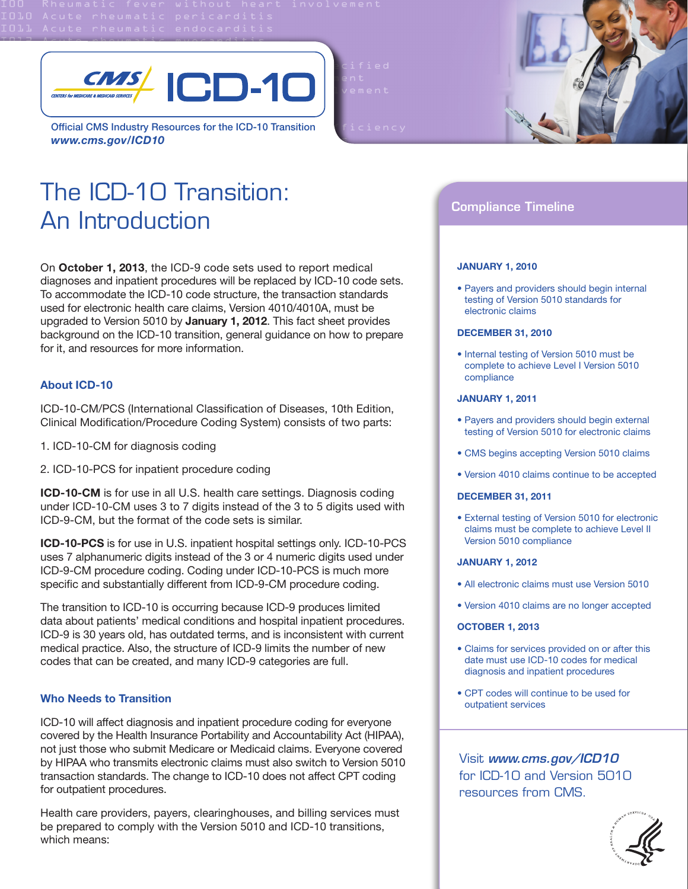

Official CMS Industry Resources for the ICD-10 Transition *www.cms.gov/ICD10*

The ICD-10 Transition: An Introduction

On **October 1, 2013**, the ICD-9 code sets used to report medical diagnoses and inpatient procedures will be replaced by ICD-10 code sets. To accommodate the ICD-10 code structure, the transaction standards used for electronic health care claims, Version 4010/4010A, must be upgraded to Version 5010 by **January 1, 2012**. This fact sheet provides background on the ICD-10 transition, general guidance on how to prepare for it, and resources for more information.

# **About ICD-10**

ICD-10-CM/PCS (International Classification of Diseases, 10th Edition, Clinical Modification/Procedure Coding System) consists of two parts:

- 1. ICD-10-CM for diagnosis coding
- 2. ICD-10-PCS for inpatient procedure coding

**ICD-10-CM** is for use in all U.S. health care settings. Diagnosis coding under ICD-10-CM uses 3 to 7 digits instead of the 3 to 5 digits used with ICD-9-CM, but the format of the code sets is similar.

**ICD-10-PCS** is for use in U.S. inpatient hospital settings only. ICD-10-PCS uses 7 alphanumeric digits instead of the 3 or 4 numeric digits used under ICD-9-CM procedure coding. Coding under ICD-10-PCS is much more specific and substantially different from ICD-9-CM procedure coding.

The transition to ICD-10 is occurring because ICD-9 produces limited data about patients' medical conditions and hospital inpatient procedures. ICD-9 is 30 years old, has outdated terms, and is inconsistent with current medical practice. Also, the structure of ICD-9 limits the number of new codes that can be created, and many ICD-9 categories are full.

# **Who Needs to Transition**

ICD-10 will affect diagnosis and inpatient procedure coding for everyone covered by the Health Insurance Portability and Accountability Act (HIPAA), not just those who submit Medicare or Medicaid claims. Everyone covered by HIPAA who transmits electronic claims must also switch to Version 5010 transaction standards. The change to ICD-10 does not affect CPT coding for outpatient procedures.

Health care providers, payers, clearinghouses, and billing services must be prepared to comply with the Version 5010 and ICD-10 transitions, which means:



# Compliance Timeline

#### **JANUARY 1, 2010**

• Payers and providers should begin internal testing of Version 5010 standards for electronic claims

### **DECEMBER 31, 2010**

• Internal testing of Version 5010 must be complete to achieve Level I Version 5010 compliance

#### **JANUARY 1, 2011**

- Payers and providers should begin external testing of Version 5010 for electronic claims
- CMS begins accepting Version 5010 claims
- Version 4010 claims continue to be accepted

#### **DECEMBER 31, 2011**

• External testing of Version 5010 for electronic claims must be complete to achieve Level II Version 5010 compliance

#### **JANUARY 1, 2012**

- All electronic claims must use Version 5010
- Version 4010 claims are no longer accepted

#### **OCTOBER 1, 2013**

- Claims for services provided on or after this date must use ICD-10 codes for medical diagnosis and inpatient procedures
- CPT codes will continue to be used for outpatient services

Visit *www.cms.gov/ICD10* for ICD-10 and Version 5010 resources from CMS.